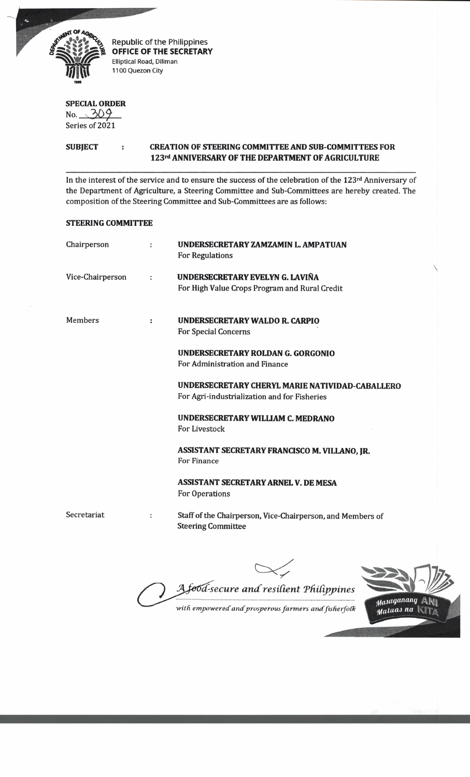

Republic of the Philippines **OFFICE OF THE SECRETARY** Elliptical Road, Diliman 1100 Quezon City

# **SPECIAL ORDER**

 $No. 309$ Series of 2021

## **SUBJECT CREATION OF STEERING COMMITTEE AND SUB COMMITTEES FOR 123rd ANNIVERSARY OF THE DEPARTMENT OF AGRICULTURE**

In the interest of the service and to ensure the success of the celebration of the 123rd Anniversary of the Department of Agriculture, a Steering Committee and Sub-Committees are hereby created. The composition of the Steering Committee and Sub-Committees are as follows:

### **STEERING COMMITTEE**

| Chairperson      |                      | UNDERSECRETARY ZAMZAMIN L. AMPATUAN<br><b>For Regulations</b>                                   |
|------------------|----------------------|-------------------------------------------------------------------------------------------------|
| Vice-Chairperson | $\ddot{\phantom{a}}$ | UNDERSECRETARY EVELYN G. LAVIÑA<br>For High Value Crops Program and Rural Credit                |
| Members          | ÷                    | UNDERSECRETARY WALDO R. CARPIO<br><b>For Special Concerns</b>                                   |
|                  |                      | UNDERSECRETARY ROLDAN G. GORGONIO<br>For Administration and Finance                             |
|                  |                      | UNDERSECRETARY CHERYL MARIE NATIVIDAD-CABALLERO<br>For Agri-industrialization and for Fisheries |
|                  |                      | UNDERSECRETARY WILLIAM C. MEDRANO<br>For Livestock                                              |
|                  |                      | ASSISTANT SECRETARY FRANCISCO M. VILLANO, JR.<br>For Finance                                    |
|                  |                      | ASSISTANT SECRETARY ARNEL V. DE MESA<br>For Operations                                          |
| Secretariat      | $\ddot{\phantom{a}}$ | Staff of the Chairperson, Vice-Chairperson, and Members of<br><b>Steering Committee</b>         |

*d-secure and resident TfUdgpines*

with empowered and prosperous farmers and fisherfolk